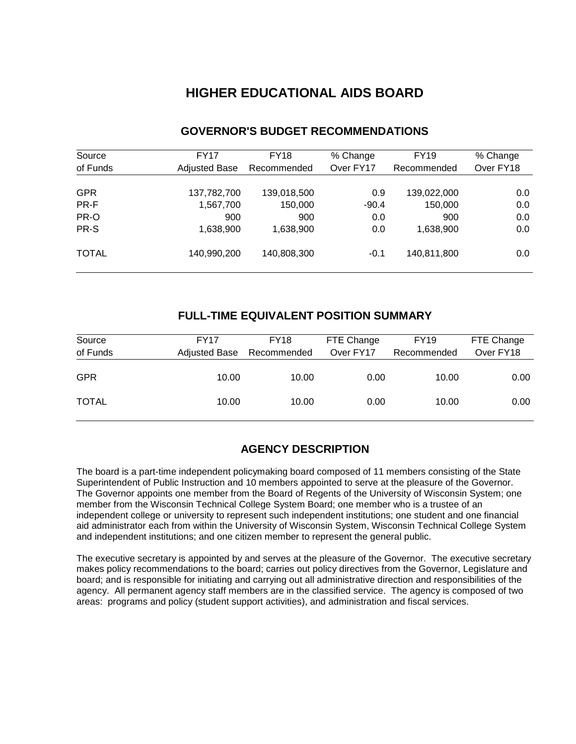# **HIGHER EDUCATIONAL AIDS BOARD**

| Source       | FY17                 | <b>FY18</b> | % Change  | <b>FY19</b> | % Change  |
|--------------|----------------------|-------------|-----------|-------------|-----------|
| of Funds     | <b>Adjusted Base</b> | Recommended | Over FY17 | Recommended | Over FY18 |
| <b>GPR</b>   | 137,782,700          | 139,018,500 | 0.9       | 139,022,000 | 0.0       |
| PR-F         | 1,567,700            | 150,000     | $-90.4$   | 150,000     | 0.0       |
| PR-O         | 900                  | 900         | 0.0       | 900         | 0.0       |
| PR-S         | 1,638,900            | 1,638,900   | 0.0       | 1,638,900   | 0.0       |
| <b>TOTAL</b> | 140,990,200          | 140,808,300 | $-0.1$    | 140,811,800 | 0.0       |

### **GOVERNOR'S BUDGET RECOMMENDATIONS**

### **FULL-TIME EQUIVALENT POSITION SUMMARY**

| Source<br>of Funds | <b>FY17</b><br><b>Adjusted Base</b> | <b>FY18</b><br>Recommended | FTE Change<br>Over FY17 | <b>FY19</b><br>Recommended | FTE Change<br>Over FY18 |
|--------------------|-------------------------------------|----------------------------|-------------------------|----------------------------|-------------------------|
| <b>GPR</b>         | 10.00                               | 10.00                      | 0.00                    | 10.00                      | 0.00                    |
| <b>TOTAL</b>       | 10.00                               | 10.00                      | 0.00                    | 10.00                      | 0.00                    |

# **AGENCY DESCRIPTION**

The board is a part-time independent policymaking board composed of 11 members consisting of the State Superintendent of Public Instruction and 10 members appointed to serve at the pleasure of the Governor. The Governor appoints one member from the Board of Regents of the University of Wisconsin System; one member from the Wisconsin Technical College System Board; one member who is a trustee of an independent college or university to represent such independent institutions; one student and one financial aid administrator each from within the University of Wisconsin System, Wisconsin Technical College System and independent institutions; and one citizen member to represent the general public.

The executive secretary is appointed by and serves at the pleasure of the Governor. The executive secretary makes policy recommendations to the board; carries out policy directives from the Governor, Legislature and board; and is responsible for initiating and carrying out all administrative direction and responsibilities of the agency. All permanent agency staff members are in the classified service. The agency is composed of two areas: programs and policy (student support activities), and administration and fiscal services.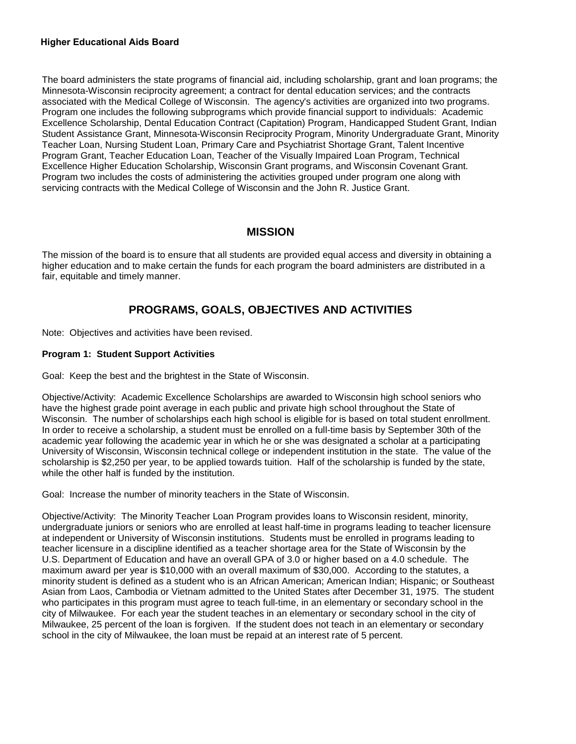#### **Higher Educational Aids Board**

The board administers the state programs of financial aid, including scholarship, grant and loan programs; the Minnesota-Wisconsin reciprocity agreement; a contract for dental education services; and the contracts associated with the Medical College of Wisconsin. The agency's activities are organized into two programs. Program one includes the following subprograms which provide financial support to individuals: Academic Excellence Scholarship, Dental Education Contract (Capitation) Program, Handicapped Student Grant, Indian Student Assistance Grant, Minnesota-Wisconsin Reciprocity Program, Minority Undergraduate Grant, Minority Teacher Loan, Nursing Student Loan, Primary Care and Psychiatrist Shortage Grant, Talent Incentive Program Grant, Teacher Education Loan, Teacher of the Visually Impaired Loan Program, Technical Excellence Higher Education Scholarship, Wisconsin Grant programs, and Wisconsin Covenant Grant. Program two includes the costs of administering the activities grouped under program one along with servicing contracts with the Medical College of Wisconsin and the John R. Justice Grant.

### **MISSION**

The mission of the board is to ensure that all students are provided equal access and diversity in obtaining a higher education and to make certain the funds for each program the board administers are distributed in a fair, equitable and timely manner.

## **PROGRAMS, GOALS, OBJECTIVES AND ACTIVITIES**

Note: Objectives and activities have been revised.

#### **Program 1: Student Support Activities**

Goal: Keep the best and the brightest in the State of Wisconsin.

Objective/Activity: Academic Excellence Scholarships are awarded to Wisconsin high school seniors who have the highest grade point average in each public and private high school throughout the State of Wisconsin. The number of scholarships each high school is eligible for is based on total student enrollment. In order to receive a scholarship, a student must be enrolled on a full-time basis by September 30th of the academic year following the academic year in which he or she was designated a scholar at a participating University of Wisconsin, Wisconsin technical college or independent institution in the state. The value of the scholarship is \$2,250 per year, to be applied towards tuition. Half of the scholarship is funded by the state, while the other half is funded by the institution.

Goal: Increase the number of minority teachers in the State of Wisconsin.

Objective/Activity: The Minority Teacher Loan Program provides loans to Wisconsin resident, minority, undergraduate juniors or seniors who are enrolled at least half-time in programs leading to teacher licensure at independent or University of Wisconsin institutions. Students must be enrolled in programs leading to teacher licensure in a discipline identified as a teacher shortage area for the State of Wisconsin by the U.S. Department of Education and have an overall GPA of 3.0 or higher based on a 4.0 schedule. The maximum award per year is \$10,000 with an overall maximum of \$30,000. According to the statutes, a minority student is defined as a student who is an African American; American Indian; Hispanic; or Southeast Asian from Laos, Cambodia or Vietnam admitted to the United States after December 31, 1975. The student who participates in this program must agree to teach full-time, in an elementary or secondary school in the city of Milwaukee. For each year the student teaches in an elementary or secondary school in the city of Milwaukee, 25 percent of the loan is forgiven. If the student does not teach in an elementary or secondary school in the city of Milwaukee, the loan must be repaid at an interest rate of 5 percent.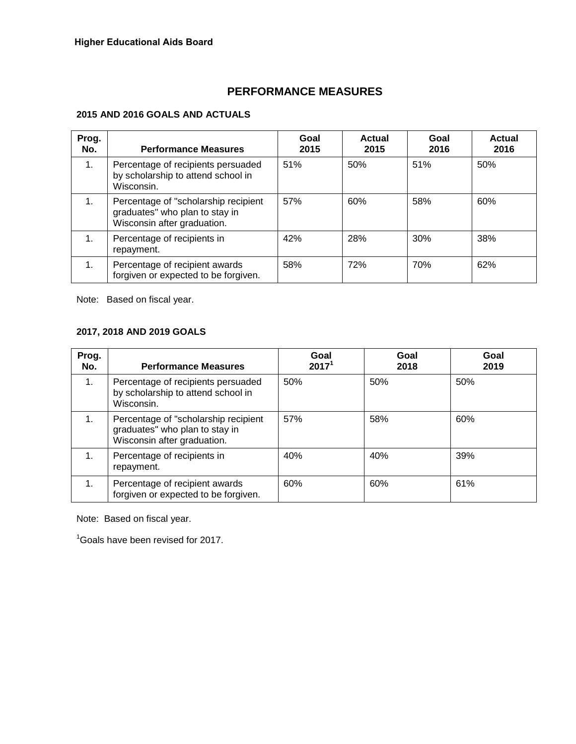# **PERFORMANCE MEASURES**

### **2015 AND 2016 GOALS AND ACTUALS**

| Prog.<br>No. | <b>Performance Measures</b>                                                                           | Goal<br>2015 | <b>Actual</b><br>2015 | Goal<br>2016 | <b>Actual</b><br>2016 |
|--------------|-------------------------------------------------------------------------------------------------------|--------------|-----------------------|--------------|-----------------------|
| 1.           | Percentage of recipients persuaded<br>by scholarship to attend school in<br>Wisconsin.                | 51%          | 50%                   | 51%          | 50%                   |
| 1.           | Percentage of "scholarship recipient<br>graduates" who plan to stay in<br>Wisconsin after graduation. | 57%          | 60%                   | 58%          | 60%                   |
| 1.           | Percentage of recipients in<br>repayment.                                                             | 42%          | 28%                   | 30%          | 38%                   |
| 1.           | Percentage of recipient awards<br>forgiven or expected to be forgiven.                                | 58%          | 72%                   | 70%          | 62%                   |

Note: Based on fiscal year.

### **2017, 2018 AND 2019 GOALS**

| Prog.<br>No. | <b>Performance Measures</b>                                                                           | Goal<br>2017 <sup>1</sup> | Goal<br>2018 | Goal<br>2019 |
|--------------|-------------------------------------------------------------------------------------------------------|---------------------------|--------------|--------------|
| 1.           | Percentage of recipients persuaded<br>by scholarship to attend school in<br>Wisconsin.                | 50%                       | 50%          | 50%          |
| 1.           | Percentage of "scholarship recipient<br>graduates" who plan to stay in<br>Wisconsin after graduation. | 57%                       | 58%          | 60%          |
| 1.           | Percentage of recipients in<br>repayment.                                                             | 40%                       | 40%          | 39%          |
|              | Percentage of recipient awards<br>forgiven or expected to be forgiven.                                | 60%                       | 60%          | 61%          |

Note: Based on fiscal year.

<sup>1</sup>Goals have been revised for 2017.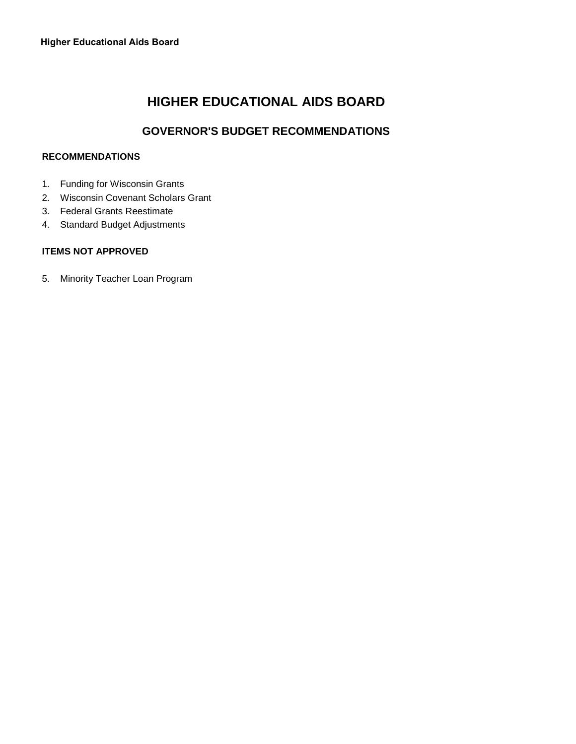# **HIGHER EDUCATIONAL AIDS BOARD**

# **GOVERNOR'S BUDGET RECOMMENDATIONS**

#### **RECOMMENDATIONS**

- 1. Funding for Wisconsin Grants
- 2. Wisconsin Covenant Scholars Grant
- 3. Federal Grants Reestimate
- 4. Standard Budget Adjustments

#### **ITEMS NOT APPROVED**

5. Minority Teacher Loan Program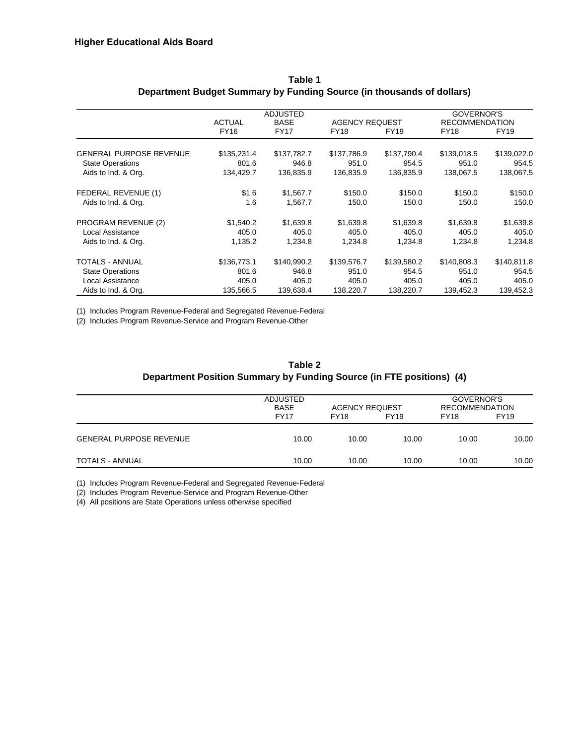|                                | <b>ACTUAL</b> | <b>ADJUSTED</b><br><b>BASE</b> | <b>AGENCY REQUEST</b> |             | <b>GOVERNOR'S</b><br><b>RECOMMENDATION</b> |             |  |
|--------------------------------|---------------|--------------------------------|-----------------------|-------------|--------------------------------------------|-------------|--|
|                                | <b>FY16</b>   | <b>FY17</b>                    | <b>FY18</b>           | <b>FY19</b> | FY18                                       | FY19        |  |
| <b>GENERAL PURPOSE REVENUE</b> | \$135,231.4   | \$137,782.7                    | \$137,786.9           | \$137,790.4 | \$139,018.5                                | \$139,022.0 |  |
| <b>State Operations</b>        | 801.6         | 946.8                          | 951.0                 | 954.5       | 951.0                                      | 954.5       |  |
| Aids to Ind. & Org.            | 134,429.7     | 136,835.9                      | 136,835.9             | 136,835.9   | 138,067.5                                  | 138,067.5   |  |
| FEDERAL REVENUE (1)            | \$1.6         | \$1,567.7                      | \$150.0               | \$150.0     | \$150.0                                    | \$150.0     |  |
| Aids to Ind. & Org.            | 1.6           | 1,567.7                        | 150.0                 | 150.0       | 150.0                                      | 150.0       |  |
| PROGRAM REVENUE (2)            | \$1,540.2     | \$1,639.8                      | \$1,639.8             | \$1,639.8   | \$1,639.8                                  | \$1,639.8   |  |
| Local Assistance               | 405.0         | 405.0                          | 405.0                 | 405.0       | 405.0                                      | 405.0       |  |
| Aids to Ind. & Org.            | 1,135.2       | 1,234.8                        | 1,234.8               | 1,234.8     | 1,234.8                                    | 1,234.8     |  |
| TOTALS - ANNUAL                | \$136,773.1   | \$140,990.2                    | \$139,576.7           | \$139,580.2 | \$140,808.3                                | \$140,811.8 |  |
| <b>State Operations</b>        | 801.6         | 946.8                          | 951.0                 | 954.5       | 951.0                                      | 954.5       |  |
| Local Assistance               | 405.0         | 405.0                          | 405.0                 | 405.0       | 405.0                                      | 405.0       |  |
| Aids to Ind. & Org.            | 135,566.5     | 139,638.4                      | 138,220.7             | 138,220.7   | 139,452.3                                  | 139,452.3   |  |

#### **Table 1 Department Budget Summary by Funding Source (in thousands of dollars)**

(1) Includes Program Revenue-Federal and Segregated Revenue-Federal

(2) Includes Program Revenue-Service and Program Revenue-Other

#### **Table 2 Department Position Summary by Funding Source (in FTE positions) (4)**

|                                | <b>ADJUSTED</b><br><b>BASE</b><br><b>FY17</b> | <b>AGENCY REQUEST</b><br><b>FY18</b> | <b>FY19</b> | GOVERNOR'S<br><b>RECOMMENDATION</b><br><b>FY18</b> | <b>FY19</b> |
|--------------------------------|-----------------------------------------------|--------------------------------------|-------------|----------------------------------------------------|-------------|
| <b>GENERAL PURPOSE REVENUE</b> | 10.00                                         | 10.00                                | 10.00       | 10.00                                              | 10.00       |
| TOTALS - ANNUAL                | 10.00                                         | 10.00                                | 10.00       | 10.00                                              | 10.00       |

(1) Includes Program Revenue-Federal and Segregated Revenue-Federal

(2) Includes Program Revenue-Service and Program Revenue-Other

(4) All positions are State Operations unless otherwise specified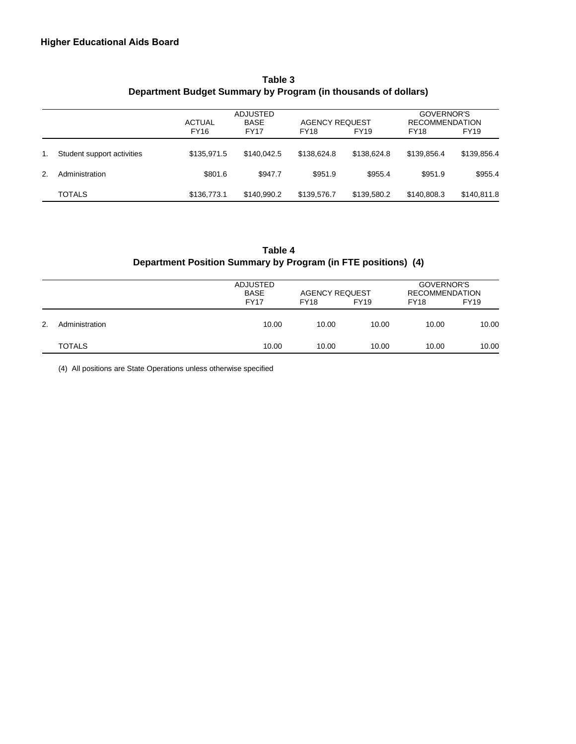|                |                            | <b>ACTUAL</b> | ADJUSTED<br><b>AGENCY REQUEST</b><br><b>BASE</b> |             |             |             |             |
|----------------|----------------------------|---------------|--------------------------------------------------|-------------|-------------|-------------|-------------|
|                |                            | <b>FY16</b>   | <b>FY17</b>                                      | <b>FY18</b> | <b>FY19</b> | <b>FY18</b> | <b>FY19</b> |
| $1_{-}$        | Student support activities | \$135,971.5   | \$140,042.5                                      | \$138,624.8 | \$138,624.8 | \$139,856.4 | \$139,856.4 |
| 2 <sub>1</sub> | Administration             | \$801.6       | \$947.7                                          | \$951.9     | \$955.4     | \$951.9     | \$955.4     |
|                | <b>TOTALS</b>              | \$136,773.1   | \$140.990.2                                      | \$139,576.7 | \$139,580.2 | \$140,808.3 | \$140,811.8 |

### **Table 3 Department Budget Summary by Program (in thousands of dollars)**

### **Table 4 Department Position Summary by Program (in FTE positions) (4)**

|    |                | ADJUSTED<br><b>BASE</b><br><b>FY17</b> | <b>AGENCY REQUEST</b><br><b>FY18</b> | <b>FY19</b> | GOVERNOR'S<br><b>RECOMMENDATION</b><br><b>FY19</b><br><b>FY18</b> |       |
|----|----------------|----------------------------------------|--------------------------------------|-------------|-------------------------------------------------------------------|-------|
| 2. | Administration | 10.00                                  | 10.00                                | 10.00       | 10.00                                                             | 10.00 |
|    | <b>TOTALS</b>  | 10.00                                  | 10.00                                | 10.00       | 10.00                                                             | 10.00 |

(4) All positions are State Operations unless otherwise specified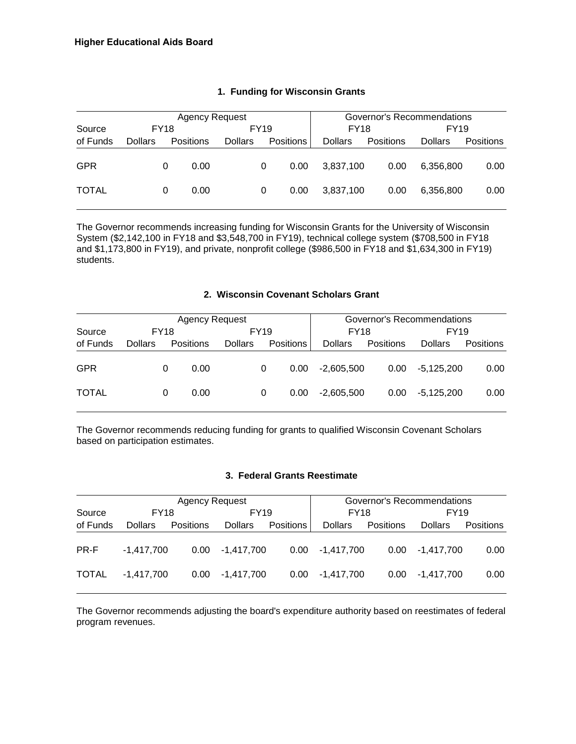|              |                |             | Agency Request   |                | Governor's Recommendations |                  |                |           |                |             |  |
|--------------|----------------|-------------|------------------|----------------|----------------------------|------------------|----------------|-----------|----------------|-------------|--|
| Source       |                | <b>FY18</b> |                  |                | <b>FY19</b>                |                  | <b>FY18</b>    |           |                | <b>FY19</b> |  |
| of Funds     | <b>Dollars</b> |             | <b>Positions</b> | <b>Dollars</b> |                            | <b>Positions</b> | <b>Dollars</b> | Positions | <b>Dollars</b> | Positions   |  |
| <b>GPR</b>   |                | 0           | 0.00             |                | 0                          | 0.00             | 3.837.100      | 0.00      | 6.356.800      | 0.00        |  |
| <b>TOTAL</b> |                | 0           | 0.00             |                | 0                          | 0.00             | 3.837.100      | 0.00      | 6.356.800      | 0.00        |  |

#### **1. Funding for Wisconsin Grants**

The Governor recommends increasing funding for Wisconsin Grants for the University of Wisconsin System (\$2,142,100 in FY18 and \$3,548,700 in FY19), technical college system (\$708,500 in FY18 and \$1,173,800 in FY19), and private, nonprofit college (\$986,500 in FY18 and \$1,634,300 in FY19) students.

#### **2. Wisconsin Covenant Scholars Grant**

|              |                |             | <b>Agency Request</b> |                |   |                  | Governor's Recommendations |                   |                |           |  |
|--------------|----------------|-------------|-----------------------|----------------|---|------------------|----------------------------|-------------------|----------------|-----------|--|
| Source       |                | <b>FY18</b> |                       | FY19           |   | <b>FY18</b>      |                            | <b>FY19</b>       |                |           |  |
| of Funds     | <b>Dollars</b> |             | Positions             | <b>Dollars</b> |   | <b>Positions</b> | <b>Dollars</b>             | Positions         | <b>Dollars</b> | Positions |  |
| <b>GPR</b>   |                | 0           | 0.00                  |                | 0 | 0.00             | $-2,605,500$               | 0.00 <sub>1</sub> | -5,125,200     | 0.00      |  |
| <b>TOTAL</b> |                | 0           | 0.00                  |                | 0 | 0.00             | $-2,605,500$               | 0.00              | -5,125,200     | 0.00      |  |

The Governor recommends reducing funding for grants to qualified Wisconsin Covenant Scholars based on participation estimates.

#### **3. Federal Grants Reestimate**

|              |                | <b>Agency Request</b> |                   |                  | Governor's Recommendations |                   |                   |             |  |
|--------------|----------------|-----------------------|-------------------|------------------|----------------------------|-------------------|-------------------|-------------|--|
| Source       | <b>FY18</b>    |                       | <b>FY19</b>       |                  | <b>FY18</b>                |                   |                   | <b>FY19</b> |  |
| of Funds     | <b>Dollars</b> | <b>Positions</b>      | <b>Dollars</b>    | <b>Positions</b> | <b>Dollars</b>             | <b>Positions</b>  | <b>Dollars</b>    | Positions   |  |
| PR-F         | $-1.417.700$   |                       | $0.00 -1,417,700$ | 0.00             | -1.417.700                 |                   | $0.00 -1,417,700$ | 0.00        |  |
| <b>TOTAL</b> | $-1.417.700$   | 0.00                  | -1.417.700        | 0.00             | $-1.417.700$               | 0.00 <sub>1</sub> | $-1.417.700$      | 0.00        |  |

The Governor recommends adjusting the board's expenditure authority based on reestimates of federal program revenues.